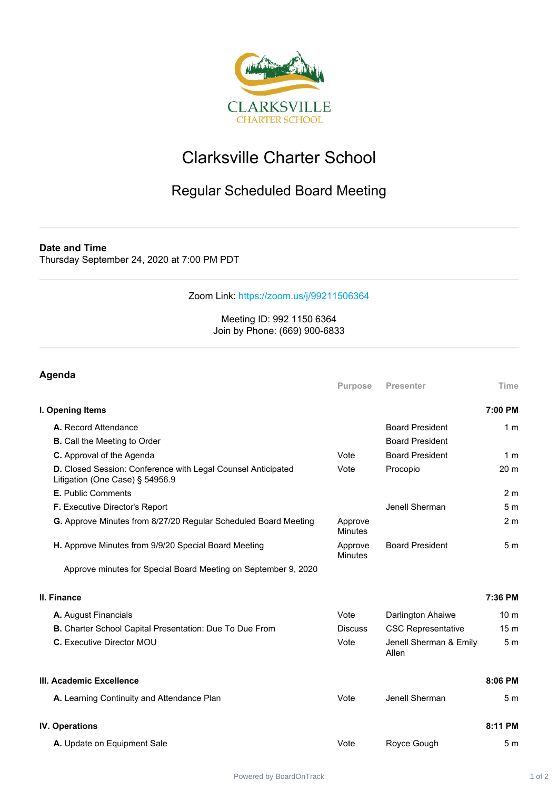

## Clarksville Charter School

## Regular Scheduled Board Meeting

**Date and Time**

Thursday September 24, 2020 at 7:00 PM PDT

## Zoom Link: <https://zoom.us/j/99211506364>

## Meeting ID: 992 1150 6364 Join by Phone: (669) 900-6833

| Agenda                                                                                          |                           |                                 |                 |  |
|-------------------------------------------------------------------------------------------------|---------------------------|---------------------------------|-----------------|--|
|                                                                                                 | <b>Purpose</b>            | <b>Presenter</b>                | Time            |  |
| I. Opening Items                                                                                |                           |                                 | 7:00 PM         |  |
| A. Record Attendance                                                                            |                           | <b>Board President</b>          | 1 <sub>m</sub>  |  |
| <b>B.</b> Call the Meeting to Order                                                             |                           | <b>Board President</b>          |                 |  |
| C. Approval of the Agenda                                                                       | Vote                      | <b>Board President</b>          | 1 <sub>m</sub>  |  |
| D. Closed Session: Conference with Legal Counsel Anticipated<br>Litigation (One Case) § 54956.9 | Vote                      | Procopio                        | 20 <sub>m</sub> |  |
| E. Public Comments                                                                              |                           |                                 | 2 <sub>m</sub>  |  |
| F. Executive Director's Report                                                                  |                           | Jenell Sherman                  | 5 <sub>m</sub>  |  |
| G. Approve Minutes from 8/27/20 Regular Scheduled Board Meeting                                 | Approve<br><b>Minutes</b> |                                 | 2 <sub>m</sub>  |  |
| H. Approve Minutes from 9/9/20 Special Board Meeting                                            | Approve<br><b>Minutes</b> | <b>Board President</b>          | 5 <sub>m</sub>  |  |
| Approve minutes for Special Board Meeting on September 9, 2020                                  |                           |                                 |                 |  |
| <b>II. Finance</b>                                                                              |                           |                                 | 7:36 PM         |  |
| A. August Financials                                                                            | Vote                      | Darlington Ahaiwe               | 10 <sub>m</sub> |  |
| B. Charter School Capital Presentation: Due To Due From                                         | <b>Discuss</b>            | <b>CSC Representative</b>       | 15 <sub>m</sub> |  |
| <b>C.</b> Executive Director MOU                                                                | Vote                      | Jenell Sherman & Emily<br>Allen | 5 <sub>m</sub>  |  |
| III. Academic Excellence                                                                        |                           |                                 | 8:06 PM         |  |
| A. Learning Continuity and Attendance Plan                                                      | Vote                      | Jenell Sherman                  | 5 <sub>m</sub>  |  |
| <b>IV. Operations</b>                                                                           |                           |                                 | 8:11 PM         |  |
| A. Update on Equipment Sale                                                                     | Vote                      | Royce Gough                     | 5 <sub>m</sub>  |  |